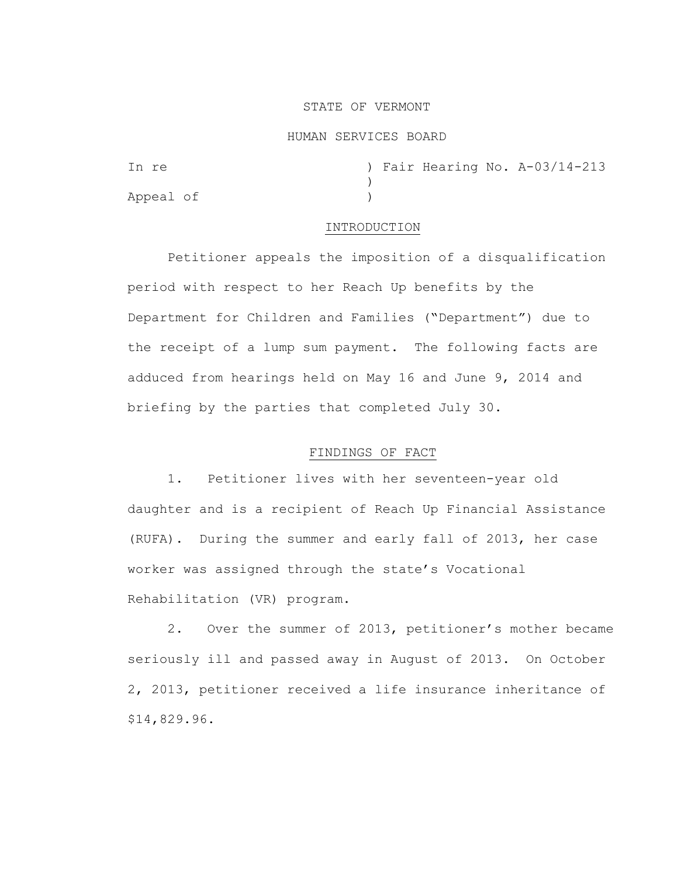## STATE OF VERMONT

#### HUMAN SERVICES BOARD

| In re     |  |  | ) Fair Hearing No. A-03/14-213 |
|-----------|--|--|--------------------------------|
|           |  |  |                                |
| Appeal of |  |  |                                |

### INTRODUCTION

Petitioner appeals the imposition of a disqualification period with respect to her Reach Up benefits by the Department for Children and Families ("Department") due to the receipt of a lump sum payment. The following facts are adduced from hearings held on May 16 and June 9, 2014 and briefing by the parties that completed July 30.

## FINDINGS OF FACT

1. Petitioner lives with her seventeen-year old daughter and is a recipient of Reach Up Financial Assistance (RUFA). During the summer and early fall of 2013, her case worker was assigned through the state's Vocational Rehabilitation (VR) program.

2. Over the summer of 2013, petitioner's mother became seriously ill and passed away in August of 2013. On October 2, 2013, petitioner received a life insurance inheritance of \$14,829.96.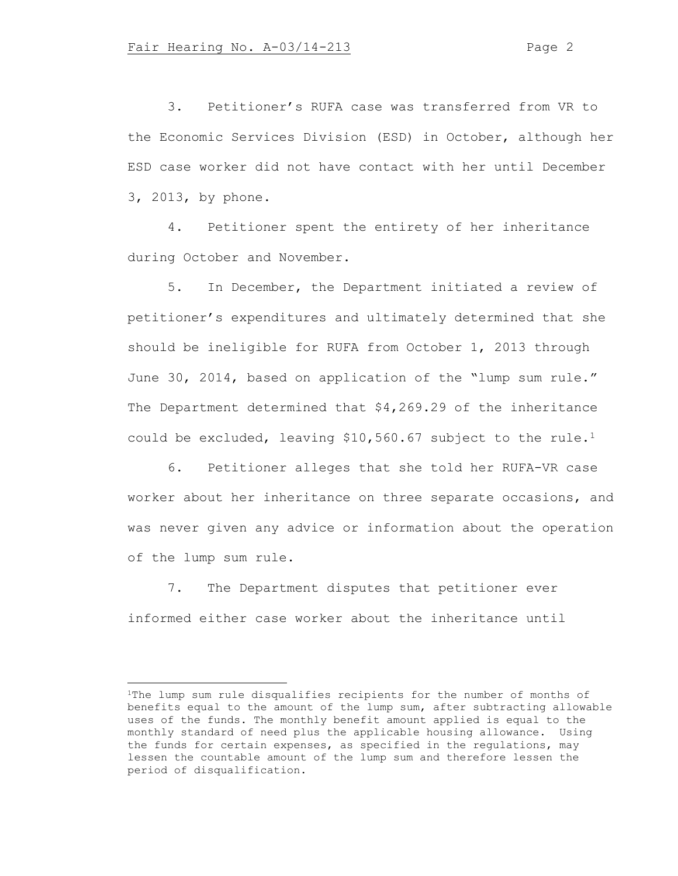3. Petitioner's RUFA case was transferred from VR to the Economic Services Division (ESD) in October, although her ESD case worker did not have contact with her until December 3, 2013, by phone.

4. Petitioner spent the entirety of her inheritance during October and November.

5. In December, the Department initiated a review of petitioner's expenditures and ultimately determined that she should be ineligible for RUFA from October 1, 2013 through June 30, 2014, based on application of the "lump sum rule." The Department determined that \$4,269.29 of the inheritance could be excluded, leaving \$10,560.67 subject to the rule.<sup>1</sup>

6. Petitioner alleges that she told her RUFA-VR case worker about her inheritance on three separate occasions, and was never given any advice or information about the operation of the lump sum rule.

7. The Department disputes that petitioner ever informed either case worker about the inheritance until

<sup>&</sup>lt;sup>1</sup>The lump sum rule disqualifies recipients for the number of months of benefits equal to the amount of the lump sum, after subtracting allowable uses of the funds. The monthly benefit amount applied is equal to the monthly standard of need plus the applicable housing allowance. Using the funds for certain expenses, as specified in the regulations, may lessen the countable amount of the lump sum and therefore lessen the period of disqualification.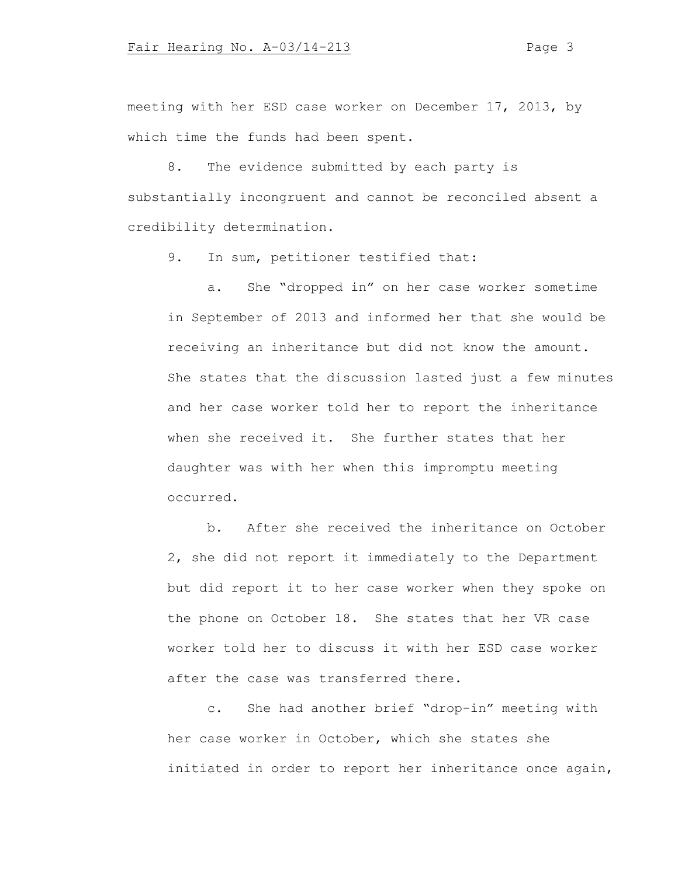meeting with her ESD case worker on December 17, 2013, by which time the funds had been spent.

8. The evidence submitted by each party is substantially incongruent and cannot be reconciled absent a credibility determination.

9. In sum, petitioner testified that:

a. She "dropped in" on her case worker sometime in September of 2013 and informed her that she would be receiving an inheritance but did not know the amount. She states that the discussion lasted just a few minutes and her case worker told her to report the inheritance when she received it. She further states that her daughter was with her when this impromptu meeting occurred.

b. After she received the inheritance on October 2, she did not report it immediately to the Department but did report it to her case worker when they spoke on the phone on October 18. She states that her VR case worker told her to discuss it with her ESD case worker after the case was transferred there.

c. She had another brief "drop-in" meeting with her case worker in October, which she states she initiated in order to report her inheritance once again,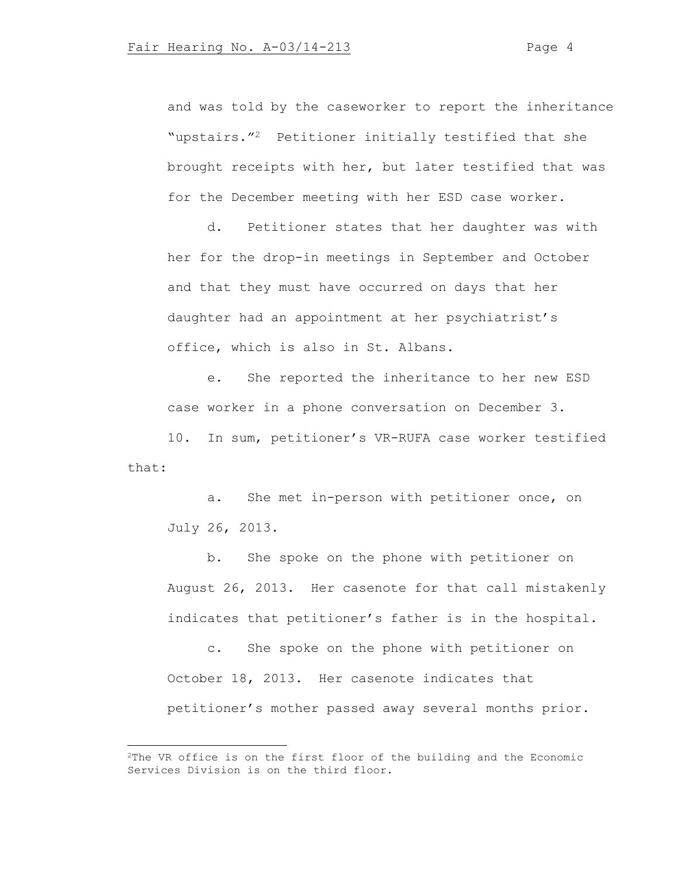and was told by the caseworker to report the inheritance "upstairs."2 Petitioner initially testified that she brought receipts with her, but later testified that was for the December meeting with her ESD case worker.

d. Petitioner states that her daughter was with her for the drop-in meetings in September and October and that they must have occurred on days that her daughter had an appointment at her psychiatrist's office, which is also in St. Albans.

e. She reported the inheritance to her new ESD case worker in a phone conversation on December 3.

10. In sum, petitioner's VR-RUFA case worker testified that:

a. She met in-person with petitioner once, on July 26, 2013.

b. She spoke on the phone with petitioner on August 26, 2013. Her casenote for that call mistakenly indicates that petitioner's father is in the hospital.

c. She spoke on the phone with petitioner on October 18, 2013. Her casenote indicates that petitioner's mother passed away several months prior.

<sup>&</sup>lt;sup>2</sup>The VR office is on the first floor of the building and the Economic Services Division is on the third floor.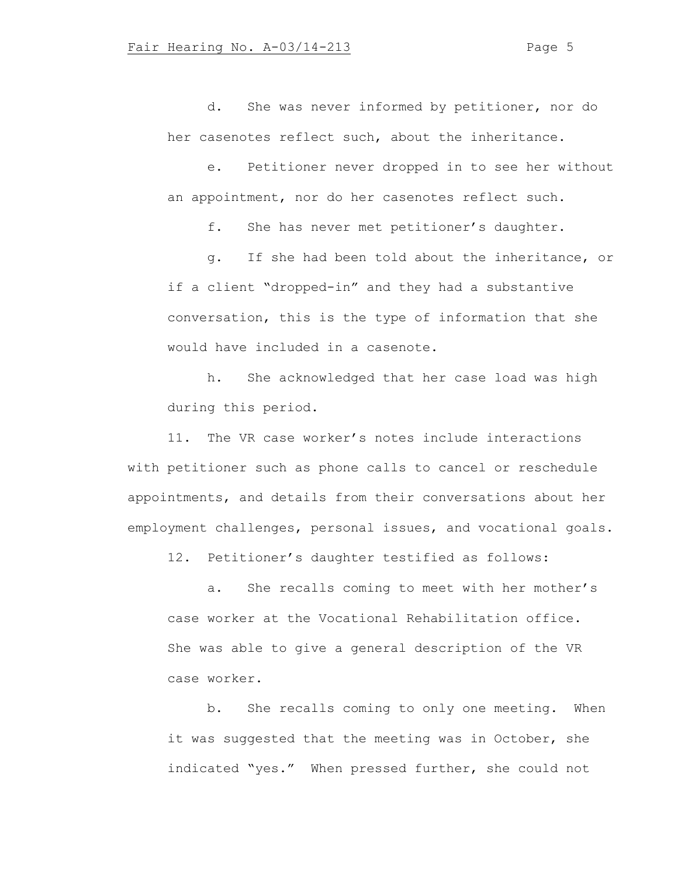d. She was never informed by petitioner, nor do her casenotes reflect such, about the inheritance.

e. Petitioner never dropped in to see her without an appointment, nor do her casenotes reflect such.

f. She has never met petitioner's daughter.

g. If she had been told about the inheritance, or if a client "dropped-in" and they had a substantive conversation, this is the type of information that she would have included in a casenote.

h. She acknowledged that her case load was high during this period.

11. The VR case worker's notes include interactions with petitioner such as phone calls to cancel or reschedule appointments, and details from their conversations about her employment challenges, personal issues, and vocational goals.

12. Petitioner's daughter testified as follows:

a. She recalls coming to meet with her mother's case worker at the Vocational Rehabilitation office. She was able to give a general description of the VR case worker.

b. She recalls coming to only one meeting. When it was suggested that the meeting was in October, she indicated "yes." When pressed further, she could not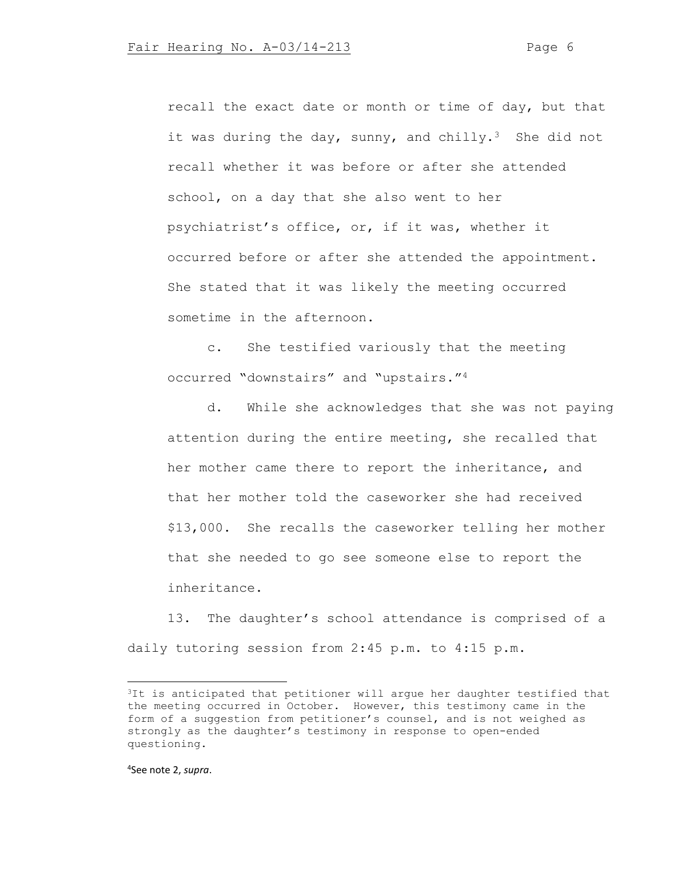recall the exact date or month or time of day, but that it was during the day, sunny, and chilly.<sup>3</sup> She did not recall whether it was before or after she attended school, on a day that she also went to her psychiatrist's office, or, if it was, whether it occurred before or after she attended the appointment. She stated that it was likely the meeting occurred sometime in the afternoon.

c. She testified variously that the meeting occurred "downstairs" and "upstairs."<sup>4</sup>

d. While she acknowledges that she was not paying attention during the entire meeting, she recalled that her mother came there to report the inheritance, and that her mother told the caseworker she had received \$13,000. She recalls the caseworker telling her mother that she needed to go see someone else to report the inheritance.

13. The daughter's school attendance is comprised of a daily tutoring session from 2:45 p.m. to 4:15 p.m.

4 See note 2, *supra*.

<sup>&</sup>lt;sup>3</sup>It is anticipated that petitioner will argue her daughter testified that the meeting occurred in October. However, this testimony came in the form of a suggestion from petitioner's counsel, and is not weighed as strongly as the daughter's testimony in response to open-ended questioning.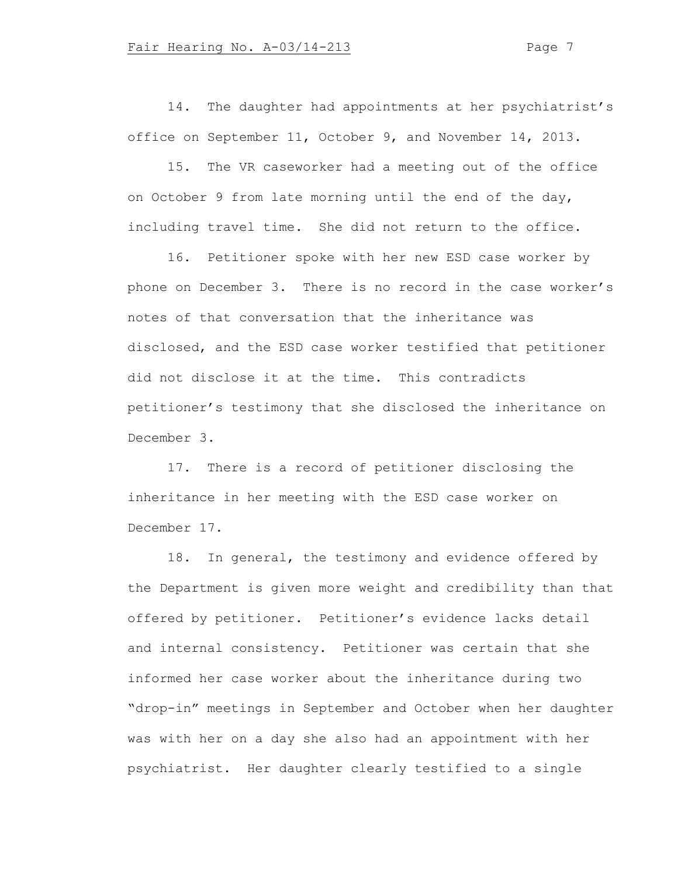14. The daughter had appointments at her psychiatrist's office on September 11, October 9, and November 14, 2013.

15. The VR caseworker had a meeting out of the office on October 9 from late morning until the end of the day, including travel time. She did not return to the office.

16. Petitioner spoke with her new ESD case worker by phone on December 3. There is no record in the case worker's notes of that conversation that the inheritance was disclosed, and the ESD case worker testified that petitioner did not disclose it at the time. This contradicts petitioner's testimony that she disclosed the inheritance on December 3.

17. There is a record of petitioner disclosing the inheritance in her meeting with the ESD case worker on December 17.

18. In general, the testimony and evidence offered by the Department is given more weight and credibility than that offered by petitioner. Petitioner's evidence lacks detail and internal consistency. Petitioner was certain that she informed her case worker about the inheritance during two "drop-in" meetings in September and October when her daughter was with her on a day she also had an appointment with her psychiatrist. Her daughter clearly testified to a single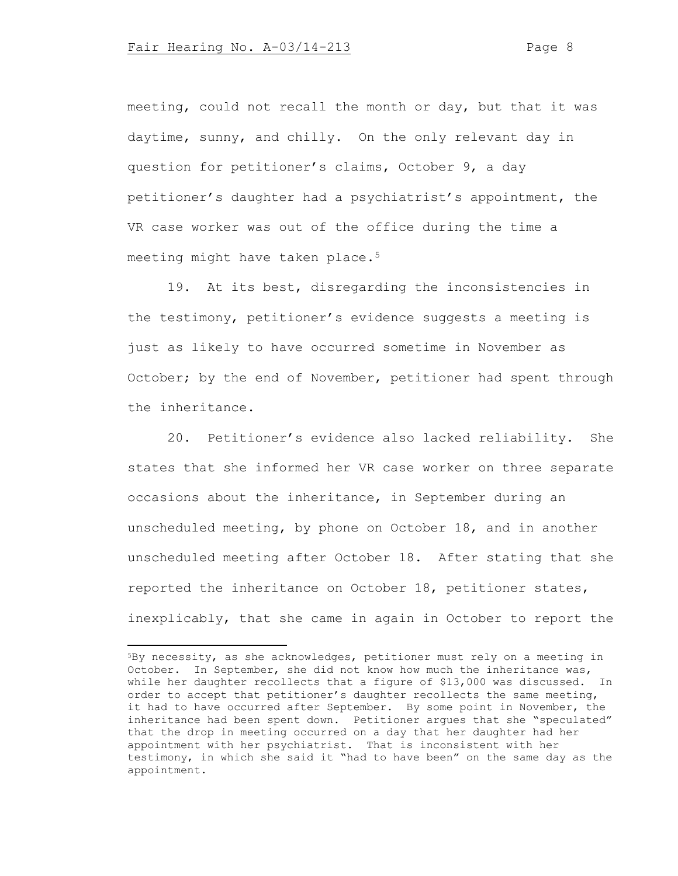meeting, could not recall the month or day, but that it was daytime, sunny, and chilly. On the only relevant day in question for petitioner's claims, October 9, a day petitioner's daughter had a psychiatrist's appointment, the VR case worker was out of the office during the time a meeting might have taken place.<sup>5</sup>

19. At its best, disregarding the inconsistencies in the testimony, petitioner's evidence suggests a meeting is just as likely to have occurred sometime in November as October; by the end of November, petitioner had spent through the inheritance.

20. Petitioner's evidence also lacked reliability. She states that she informed her VR case worker on three separate occasions about the inheritance, in September during an unscheduled meeting, by phone on October 18, and in another unscheduled meeting after October 18. After stating that she reported the inheritance on October 18, petitioner states, inexplicably, that she came in again in October to report the

<sup>5</sup>By necessity, as she acknowledges, petitioner must rely on a meeting in October. In September, she did not know how much the inheritance was, while her daughter recollects that a figure of \$13,000 was discussed. In order to accept that petitioner's daughter recollects the same meeting, it had to have occurred after September. By some point in November, the inheritance had been spent down. Petitioner argues that she "speculated" that the drop in meeting occurred on a day that her daughter had her appointment with her psychiatrist. That is inconsistent with her testimony, in which she said it "had to have been" on the same day as the appointment.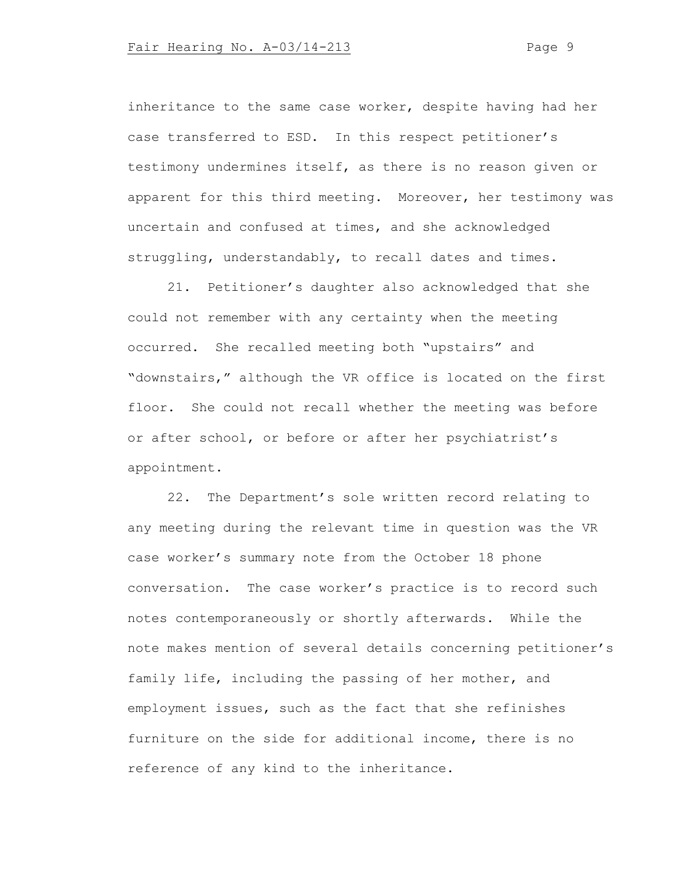inheritance to the same case worker, despite having had her case transferred to ESD. In this respect petitioner's testimony undermines itself, as there is no reason given or apparent for this third meeting. Moreover, her testimony was uncertain and confused at times, and she acknowledged struggling, understandably, to recall dates and times.

21. Petitioner's daughter also acknowledged that she could not remember with any certainty when the meeting occurred. She recalled meeting both "upstairs" and "downstairs," although the VR office is located on the first floor. She could not recall whether the meeting was before or after school, or before or after her psychiatrist's appointment.

22. The Department's sole written record relating to any meeting during the relevant time in question was the VR case worker's summary note from the October 18 phone conversation. The case worker's practice is to record such notes contemporaneously or shortly afterwards. While the note makes mention of several details concerning petitioner's family life, including the passing of her mother, and employment issues, such as the fact that she refinishes furniture on the side for additional income, there is no reference of any kind to the inheritance.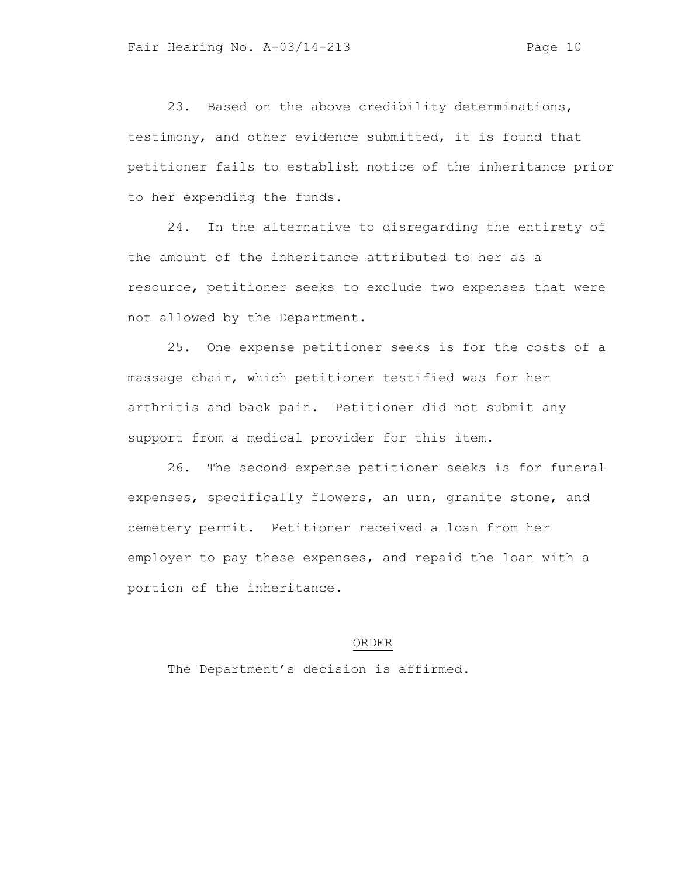23. Based on the above credibility determinations, testimony, and other evidence submitted, it is found that petitioner fails to establish notice of the inheritance prior to her expending the funds.

24. In the alternative to disregarding the entirety of the amount of the inheritance attributed to her as a resource, petitioner seeks to exclude two expenses that were not allowed by the Department.

25. One expense petitioner seeks is for the costs of a massage chair, which petitioner testified was for her arthritis and back pain. Petitioner did not submit any support from a medical provider for this item.

26. The second expense petitioner seeks is for funeral expenses, specifically flowers, an urn, granite stone, and cemetery permit. Petitioner received a loan from her employer to pay these expenses, and repaid the loan with a portion of the inheritance.

# ORDER

The Department's decision is affirmed.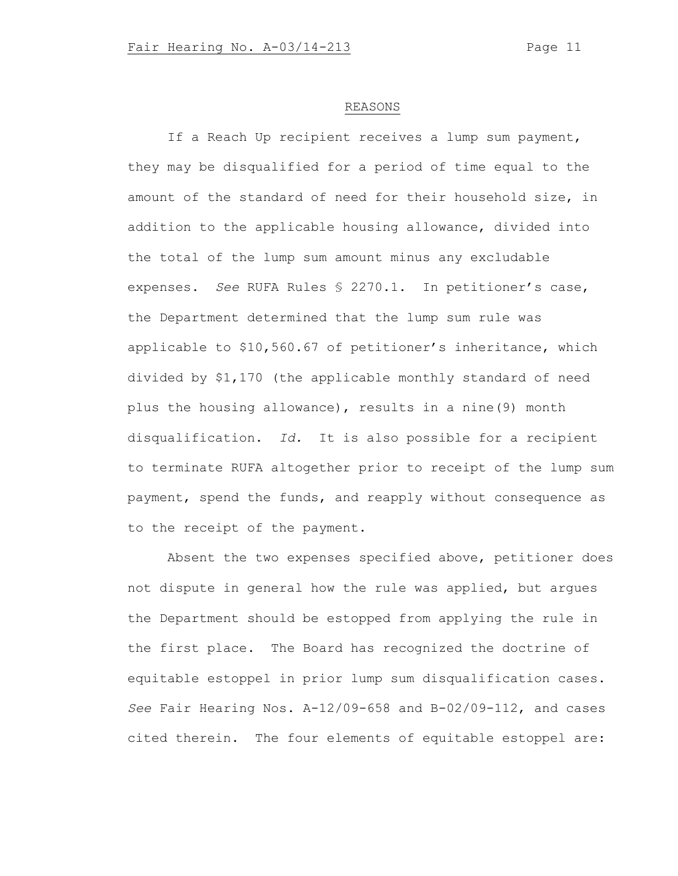### REASONS

If a Reach Up recipient receives a lump sum payment, they may be disqualified for a period of time equal to the amount of the standard of need for their household size, in addition to the applicable housing allowance, divided into the total of the lump sum amount minus any excludable expenses. *See* RUFA Rules § 2270.1. In petitioner's case, the Department determined that the lump sum rule was applicable to \$10,560.67 of petitioner's inheritance, which divided by \$1,170 (the applicable monthly standard of need plus the housing allowance), results in a nine(9) month disqualification. *Id.* It is also possible for a recipient to terminate RUFA altogether prior to receipt of the lump sum payment, spend the funds, and reapply without consequence as to the receipt of the payment.

Absent the two expenses specified above, petitioner does not dispute in general how the rule was applied, but argues the Department should be estopped from applying the rule in the first place. The Board has recognized the doctrine of equitable estoppel in prior lump sum disqualification cases. *See* Fair Hearing Nos. A-12/09-658 and B-02/09-112, and cases cited therein. The four elements of equitable estoppel are: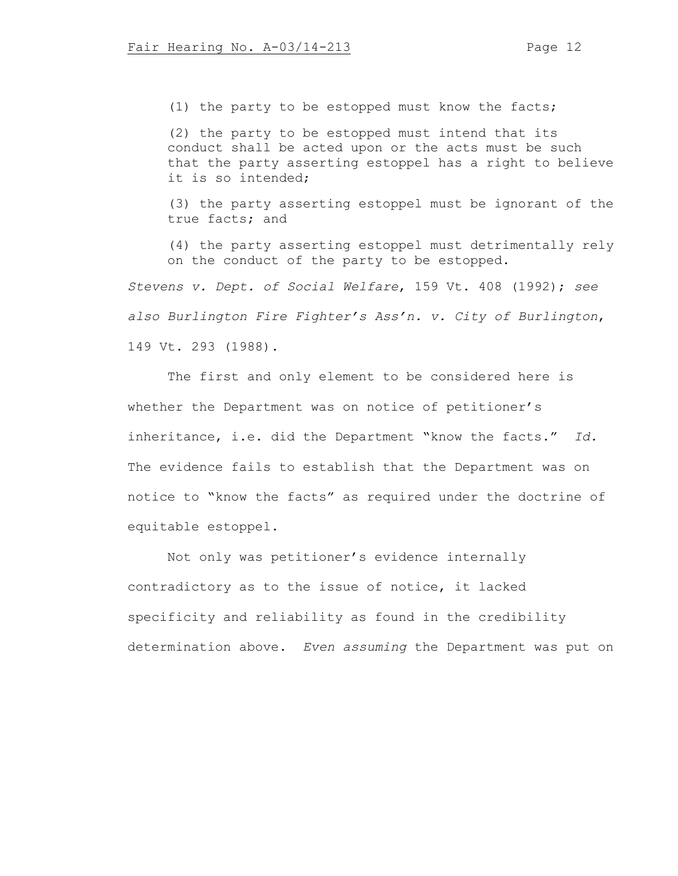(1) the party to be estopped must know the facts;

(2) the party to be estopped must intend that its conduct shall be acted upon or the acts must be such that the party asserting estoppel has a right to believe it is so intended;

(3) the party asserting estoppel must be ignorant of the true facts; and

(4) the party asserting estoppel must detrimentally rely on the conduct of the party to be estopped.

*Stevens v. Dept. of Social Welfare*, 159 Vt. 408 (1992); *see also Burlington Fire Fighter's Ass'n. v. City of Burlington*, 149 Vt. 293 (1988).

The first and only element to be considered here is whether the Department was on notice of petitioner's inheritance, i.e. did the Department "know the facts." *Id.* The evidence fails to establish that the Department was on notice to "know the facts" as required under the doctrine of equitable estoppel.

Not only was petitioner's evidence internally contradictory as to the issue of notice, it lacked specificity and reliability as found in the credibility determination above. *Even assuming* the Department was put on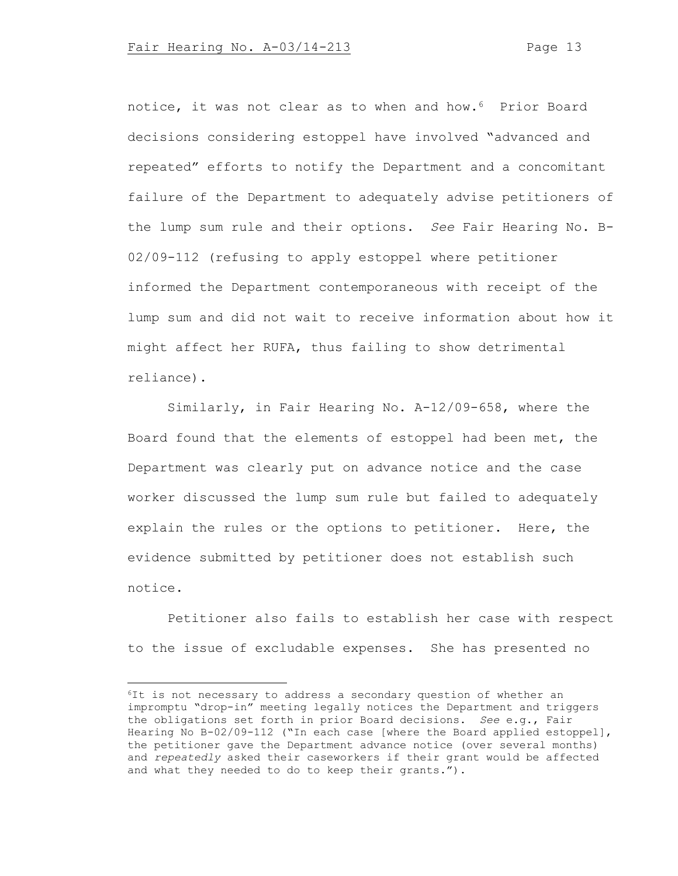notice, it was not clear as to when and how.6 Prior Board decisions considering estoppel have involved "advanced and repeated" efforts to notify the Department and a concomitant failure of the Department to adequately advise petitioners of the lump sum rule and their options. *See* Fair Hearing No. B-02/09-112 (refusing to apply estoppel where petitioner informed the Department contemporaneous with receipt of the lump sum and did not wait to receive information about how it might affect her RUFA, thus failing to show detrimental reliance).

Similarly, in Fair Hearing No. A-12/09-658, where the Board found that the elements of estoppel had been met, the Department was clearly put on advance notice and the case worker discussed the lump sum rule but failed to adequately explain the rules or the options to petitioner. Here, the evidence submitted by petitioner does not establish such notice.

Petitioner also fails to establish her case with respect to the issue of excludable expenses. She has presented no

<sup>6</sup>It is not necessary to address a secondary question of whether an impromptu "drop-in" meeting legally notices the Department and triggers the obligations set forth in prior Board decisions. *See* e.g., Fair Hearing No B-02/09-112 ("In each case [where the Board applied estoppel], the petitioner gave the Department advance notice (over several months) and *repeatedly* asked their caseworkers if their grant would be affected and what they needed to do to keep their grants.").